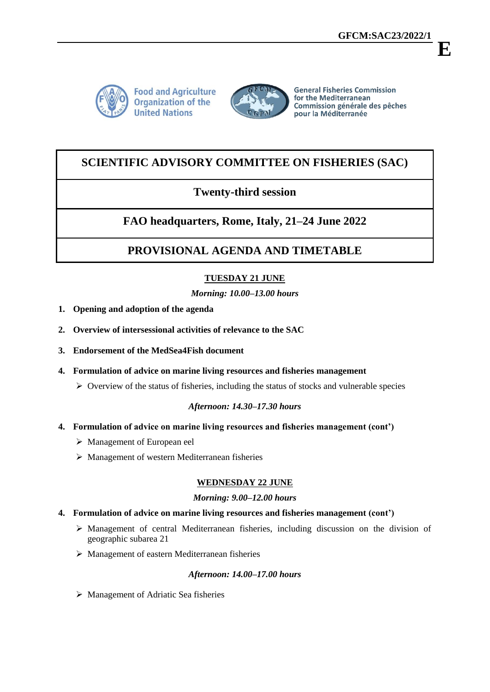**E**



**Food and Agriculture Organization of the United Nations** 



**General Fisheries Commission** for the Mediterranean Commission générale des pêches pour la Méditerranée

# **SCIENTIFIC ADVISORY COMMITTEE ON FISHERIES (SAC)**

## **Twenty-third session**

# **FAO headquarters, Rome, Italy, 21–24 June 2022**

# **PROVISIONAL AGENDA AND TIMETABLE**

## **TUESDAY 21 JUNE**

## *Morning: 10.00–13.00 hours*

- **1. Opening and adoption of the agenda**
- **2. Overview of intersessional activities of relevance to the SAC**
- **3. Endorsement of the MedSea4Fish document**
- **4. Formulation of advice on marine living resources and fisheries management**
	- $\triangleright$  Overview of the status of fisheries, including the status of stocks and vulnerable species

## *Afternoon: 14.30–17.30 hours*

- **4. Formulation of advice on marine living resources and fisheries management (cont')**
	- Management of European eel
	- Management of western Mediterranean fisheries

## **WEDNESDAY 22 JUNE**

### *Morning: 9.00–12.00 hours*

### **4. Formulation of advice on marine living resources and fisheries management (cont')**

- Management of central Mediterranean fisheries, including discussion on the division of geographic subarea 21
- $\triangleright$  Management of eastern Mediterranean fisheries

### *Afternoon: 14.00–17.00 hours*

Management of Adriatic Sea fisheries